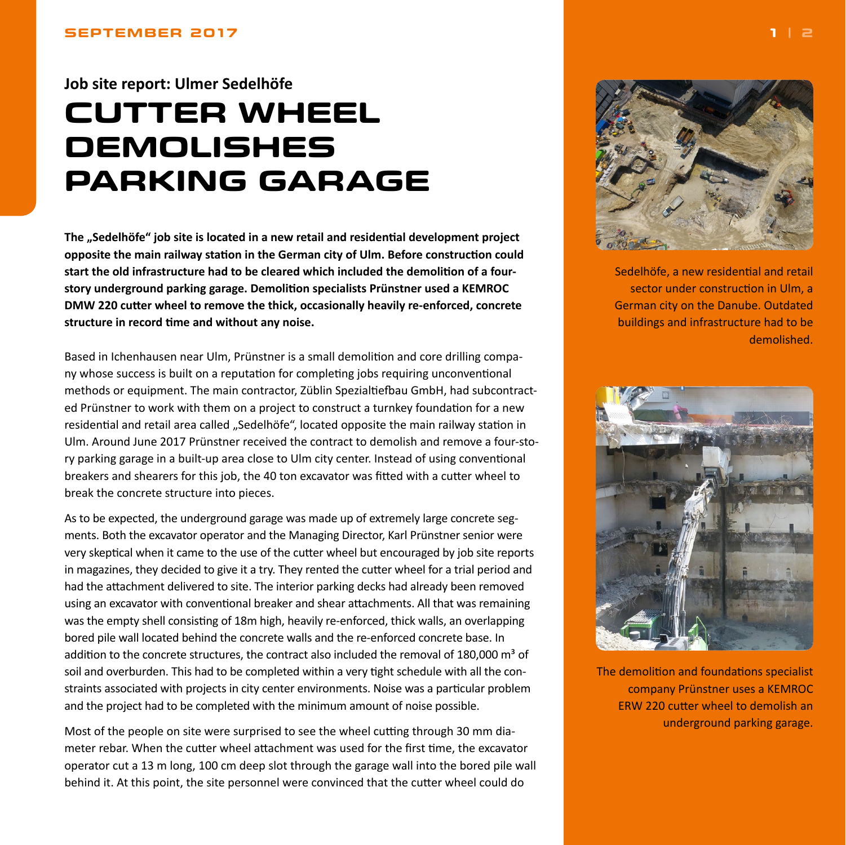### <span id="page-0-0"></span>**Job site report: Ulmer Sedelhöfe**

# **CUTTER WHEEL DEMOLISHES PARKING GARAGE**

**The "Sedelhöfe" job site is located in a new retail and residential development project opposite the main railway station in the German city of Ulm. Before construction could start the old infrastructure had to be cleared which included the demolition of a fourstory underground parking garage. Demolition specialists Prünstner used a KEMROC DMW 220 cutter wheel to remove the thick, occasionally heavily re-enforced, concrete structure in record time and without any noise.**

Based in Ichenhausen near Ulm, Prünstner is a small demolition and core drilling company whose success is built on a reputation for completing jobs requiring unconventional methods or equipment. The main contractor, Züblin Spezialtiefbau GmbH, had subcontracted Prünstner to work with them on a project to construct a turnkey foundation for a new residential and retail area called "Sedelhöfe", located opposite the main railway station in Ulm. Around June 2017 Prünstner received the contract to demolish and remove a four-story parking garage in a built-up area close to Ulm city center. Instead of using conventional breakers and shearers for this job, the 40 ton excavator was fitted with a cutter wheel to break the concrete structure into pieces.

As to be expected, the underground garage was made up of extremely large concrete segments. Both the excavator operator and the Managing Director, Karl Prünstner senior were very skeptical when it came to the use of the cutter wheel but encouraged by job site reports in magazines, they decided to give it a try. They rented the cutter wheel for a trial period and had the attachment delivered to site. The interior parking decks had already been removed using an excavator with conventional breaker and shear attachments. All that was remaining was the empty shell consisting of 18m high, heavily re-enforced, thick walls, an overlapping bored pile wall located behind the concrete walls and the re-enforced concrete base. In addition to the concrete structures, the contract also included the removal of 180,000  $\text{m}^3$  of soil and overburden. This had to be completed within a very tight schedule with all the constraints associated with projects in city center environments. Noise was a particular problem and the project had to be completed with the minimum amount of noise possible.

Most of the people on site were surprised to see the wheel cutting through 30 mm diameter rebar. When the cutter wheel attachment was used for the first time, the excavator operator cut a 13 m long, 100 cm deep slot through the garage wall into the bored pile wall behind it. At this point, the site personnel were convinced that the cutter wheel could do



Sedelhöfe, a new residential and retail sector under construction in Ulm, a German city on the Danube. Outdated buildings and infrastructure had to be demolished.



The demolition and foundations specialist company Prünstner uses a KEMROC ERW 220 cutter wheel to demolish an underground parking garage.